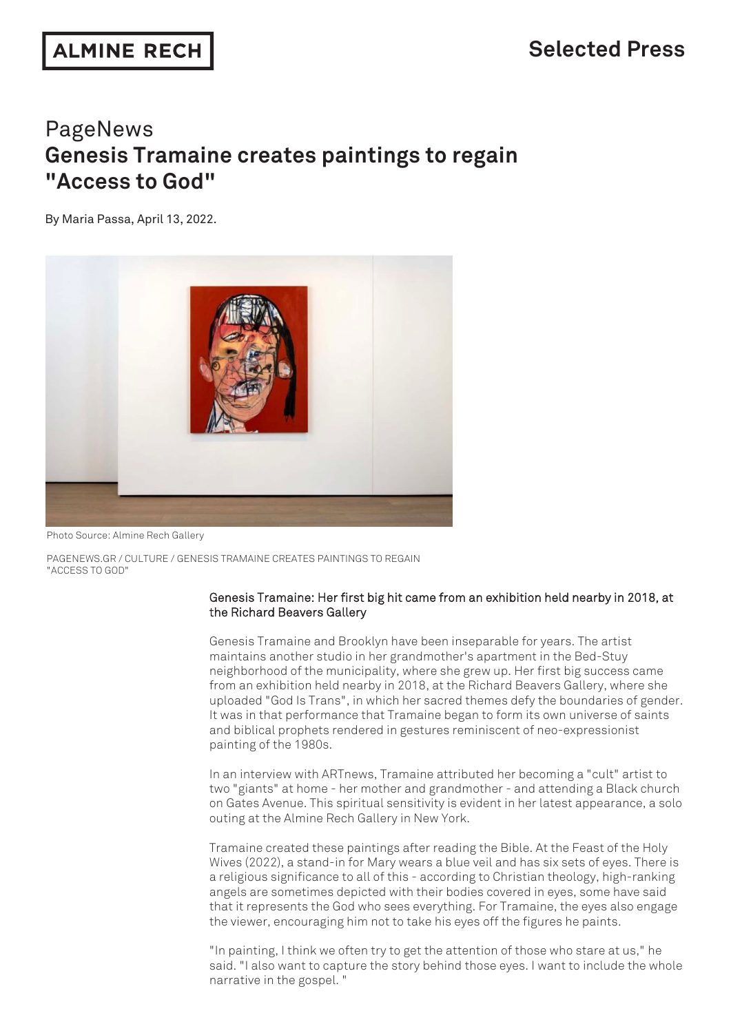## PageNews **Genesis Tramaine creates paintings to regain "Access to God"**

By Maria Passa, April 13, 2022.



Photo Source: Almine Rech Gallery

PAGENEWS.GR / CULTURE / GENESIS TRAMAINE CREATES PAINTINGS TO REGAIN "ACCESS TO GOD"

## Genesis Tramaine: Her first big hit came from an exhibition held nearby in 2018, at the Richard Beavers Gallery

Genesis Tramaine and Brooklyn have been inseparable for years. The artist maintains another studio in her grandmother's apartment in the Bed-Stuy neighborhood of the municipality, where she grew up. Her first big success came from an exhibition held nearby in 2018, at the Richard Beavers Gallery, where she uploaded "God Is Trans", in which her sacred themes defy the boundaries of gender. It was in that performance that Tramaine began to form its own universe of saints and biblical prophets rendered in gestures reminiscent of neo-expressionist painting of the 1980s.

In an interview with ARTnews, Tramaine attributed her becoming a "cult" artist to two "giants" at home - her mother and grandmother - and attending a Black church on Gates Avenue. This spiritual sensitivity is evident in her latest appearance, a solo outing at the Almine Rech Gallery in New York.

Tramaine created these paintings after reading the Bible. At the Feast of the Holy Wives (2022), a stand-in for Mary wears a blue veil and has six sets of eyes. There is a religious significance to all of this - according to Christian theology, high-ranking angels are sometimes depicted with their bodies covered in eyes, some have said that it represents the God who sees everything. For Tramaine, the eyes also engage the viewer, encouraging him not to take his eyes off the figures he paints.

"In painting, I think we often try to get the attention of those who stare at us," he said. "I also want to capture the story behind those eyes. I want to include the whole narrative in the gospel. "